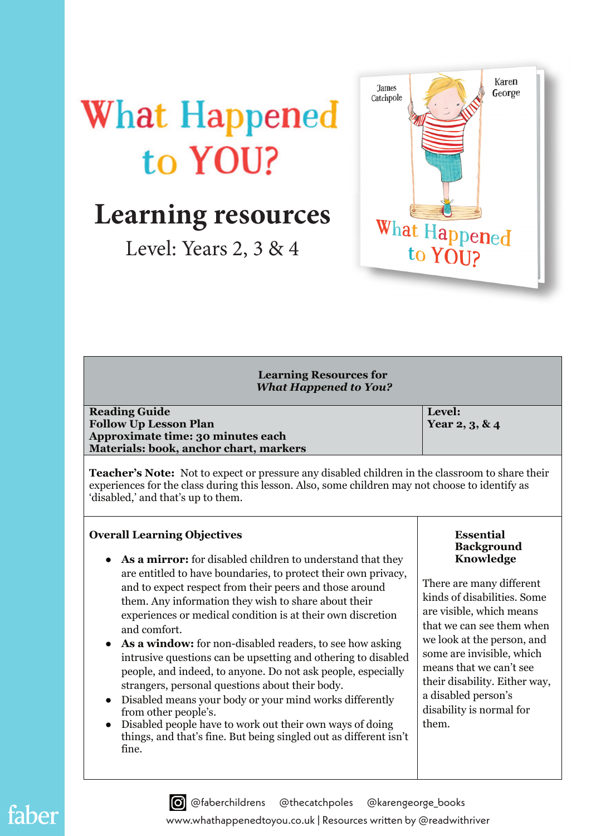# **What Happened** to YOU?

# **Learning resources**

Level: Years 2, 3 & 4



#### **Learning Resources for** *What Happened to You?*

**Reading Guide Follow Up Lesson Plan Approximate time: 30 minutes each Materials: book, anchor chart, markers** **Level: Year 2, 3, & 4**

**Teacher's Note:** Not to expect or pressure any disabled children in the classroom to share their experiences for the class during this lesson. Also, some children may not choose to identify as 'disabled,' and that's up to them.

#### **Overall Learning Objectives**

- As a mirror: for disabled children to understand that they are entitled to have boundaries, to protect their own privacy, and to expect respect from their peers and those around them. Any information they wish to share about their experiences or medical condition is at their own discretion and comfort.
- As a window: for non-disabled readers, to see how asking intrusive questions can be upsetting and othering to disabled people, and indeed, to anyone. Do not ask people, especially strangers, personal questions about their body.
- Disabled means your body or your mind works differently from other people's.
- Disabled people have to work out their own ways of doing things, and that's fine. But being singled out as different isn't fine.

#### **Essential Background Knowledge**

There are many different kinds of disabilities. Some are visible, which means that we can see them when we look at the person, and some are invisible, which means that we can't see their disability. Either way, a disabled person's disability is normal for them.

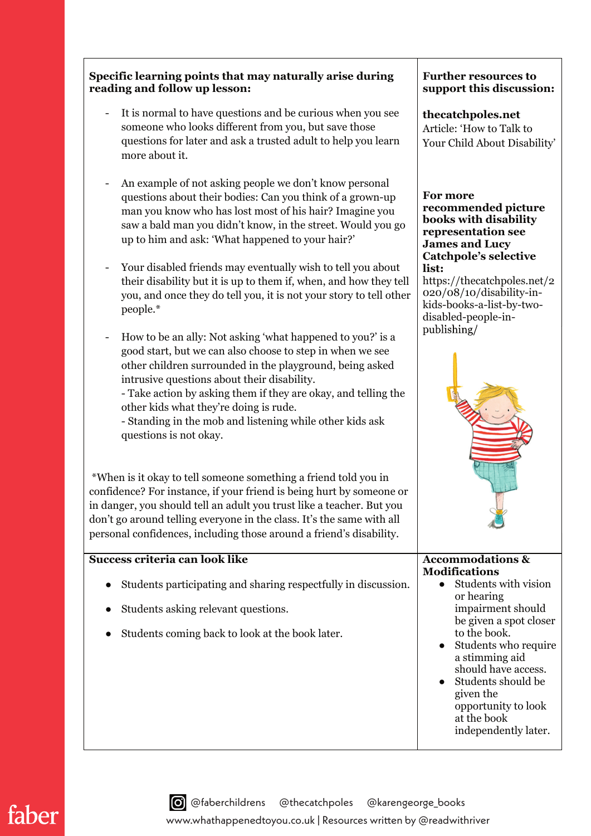|                          | Specific learning points that may naturally arise during<br>reading and follow up lesson:                                                                                                                                                                                                                                                                                                                                                                                                                                                                                                                                                                                                                      | <b>Further resources to</b><br>support this discussion:                                                                                                                                                                                                                 |  |
|--------------------------|----------------------------------------------------------------------------------------------------------------------------------------------------------------------------------------------------------------------------------------------------------------------------------------------------------------------------------------------------------------------------------------------------------------------------------------------------------------------------------------------------------------------------------------------------------------------------------------------------------------------------------------------------------------------------------------------------------------|-------------------------------------------------------------------------------------------------------------------------------------------------------------------------------------------------------------------------------------------------------------------------|--|
|                          | It is normal to have questions and be curious when you see<br>someone who looks different from you, but save those<br>questions for later and ask a trusted adult to help you learn<br>more about it.                                                                                                                                                                                                                                                                                                                                                                                                                                                                                                          | thecatchpoles.net<br>Article: 'How to Talk to<br>Your Child About Disability'                                                                                                                                                                                           |  |
| $\overline{\phantom{a}}$ | An example of not asking people we don't know personal<br>questions about their bodies: Can you think of a grown-up<br>man you know who has lost most of his hair? Imagine you<br>saw a bald man you didn't know, in the street. Would you go<br>up to him and ask: 'What happened to your hair?'<br>Your disabled friends may eventually wish to tell you about<br>their disability but it is up to them if, when, and how they tell<br>you, and once they do tell you, it is not your story to tell other<br>people.*<br>How to be an ally: Not asking 'what happened to you?' is a<br>good start, but we can also choose to step in when we see<br>other children surrounded in the playground, being asked | For more<br>recommended picture<br>books with disability<br>representation see<br><b>James and Lucy</b><br>Catchpole's selective<br>list:<br>https://thecatchpoles.net/2<br>020/08/10/disability-in-<br>kids-books-a-list-by-two-<br>disabled-people-in-<br>publishing/ |  |
|                          | intrusive questions about their disability.<br>- Take action by asking them if they are okay, and telling the<br>other kids what they're doing is rude.<br>- Standing in the mob and listening while other kids ask<br>questions is not okay.                                                                                                                                                                                                                                                                                                                                                                                                                                                                  |                                                                                                                                                                                                                                                                         |  |
|                          | *When is it okay to tell someone something a friend told you in<br>confidence? For instance, if your friend is being hurt by someone or<br>in danger, you should tell an adult you trust like a teacher. But you<br>don't go around telling everyone in the class. It's the same with all<br>personal confidences, including those around a friend's disability.                                                                                                                                                                                                                                                                                                                                               |                                                                                                                                                                                                                                                                         |  |
|                          | Success criteria can look like                                                                                                                                                                                                                                                                                                                                                                                                                                                                                                                                                                                                                                                                                 | <b>Accommodations &amp;</b><br><b>Modifications</b>                                                                                                                                                                                                                     |  |
|                          | Students participating and sharing respectfully in discussion.                                                                                                                                                                                                                                                                                                                                                                                                                                                                                                                                                                                                                                                 | Students with vision<br>$\bullet$<br>or hearing                                                                                                                                                                                                                         |  |
|                          | Students asking relevant questions.                                                                                                                                                                                                                                                                                                                                                                                                                                                                                                                                                                                                                                                                            | impairment should<br>be given a spot closer                                                                                                                                                                                                                             |  |
|                          | Students coming back to look at the book later.                                                                                                                                                                                                                                                                                                                                                                                                                                                                                                                                                                                                                                                                | to the book.<br>Students who require<br>$\bullet$<br>a stimming aid<br>should have access.<br>Students should be<br>given the<br>opportunity to look<br>at the book<br>independently later.                                                                             |  |

# faber

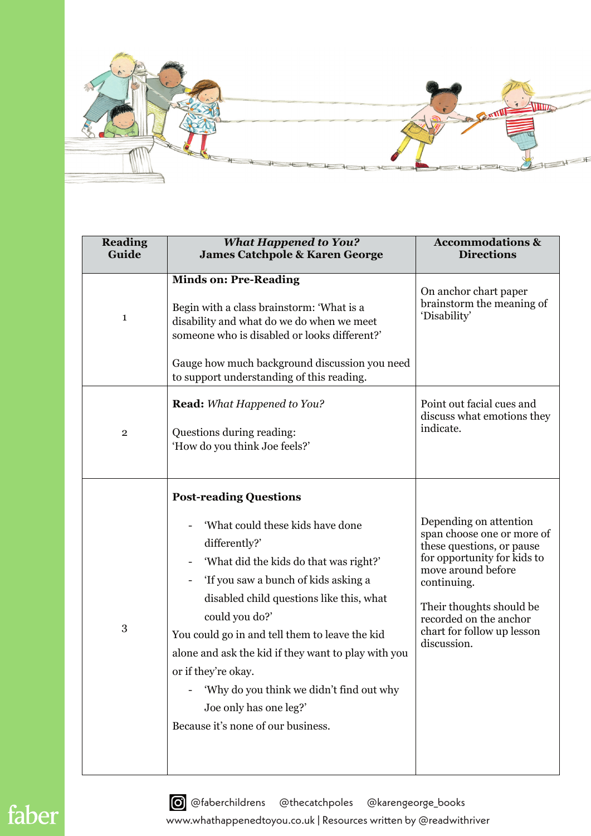

| <b>Reading</b><br>Guide | <b>What Happened to You?</b><br><b>James Catchpole &amp; Karen George</b>                                                                                                                                                                                                                                                                                                                                                                                                      | <b>Accommodations &amp;</b><br><b>Directions</b>                                                                                                                                                                                                         |
|-------------------------|--------------------------------------------------------------------------------------------------------------------------------------------------------------------------------------------------------------------------------------------------------------------------------------------------------------------------------------------------------------------------------------------------------------------------------------------------------------------------------|----------------------------------------------------------------------------------------------------------------------------------------------------------------------------------------------------------------------------------------------------------|
| $\mathbf{1}$            | <b>Minds on: Pre-Reading</b><br>Begin with a class brainstorm: 'What is a<br>disability and what do we do when we meet<br>someone who is disabled or looks different?'<br>Gauge how much background discussion you need<br>to support understanding of this reading.                                                                                                                                                                                                           | On anchor chart paper<br>brainstorm the meaning of<br>'Disability'                                                                                                                                                                                       |
| $\overline{2}$          | Read: What Happened to You?<br>Questions during reading:<br>'How do you think Joe feels?'                                                                                                                                                                                                                                                                                                                                                                                      | Point out facial cues and<br>discuss what emotions they<br>indicate.                                                                                                                                                                                     |
| 3                       | <b>Post-reading Questions</b><br>'What could these kids have done<br>differently?'<br>'What did the kids do that was right?'<br>'If you saw a bunch of kids asking a<br>disabled child questions like this, what<br>could you do?'<br>You could go in and tell them to leave the kid<br>alone and ask the kid if they want to play with you<br>or if they're okay.<br>'Why do you think we didn't find out why<br>Joe only has one leg?'<br>Because it's none of our business. | Depending on attention<br>span choose one or more of<br>these questions, or pause<br>for opportunity for kids to<br>move around before<br>continuing.<br>Their thoughts should be<br>recorded on the anchor<br>chart for follow up lesson<br>discussion. |

### faber

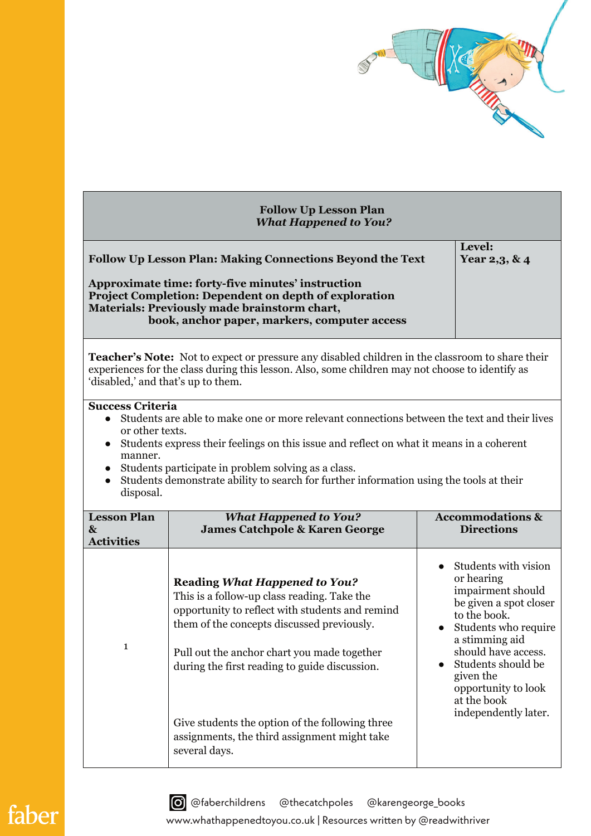

| <b>Follow Up Lesson Plan</b><br><b>What Happened to You?</b>                                                                                                                                                                                                                                                                                                                                                    |                                                                                                                                                                                                                                                                                                                                                                                                          |                            |                                                                                                                                                                                                                                                                     |  |  |  |
|-----------------------------------------------------------------------------------------------------------------------------------------------------------------------------------------------------------------------------------------------------------------------------------------------------------------------------------------------------------------------------------------------------------------|----------------------------------------------------------------------------------------------------------------------------------------------------------------------------------------------------------------------------------------------------------------------------------------------------------------------------------------------------------------------------------------------------------|----------------------------|---------------------------------------------------------------------------------------------------------------------------------------------------------------------------------------------------------------------------------------------------------------------|--|--|--|
| <b>Follow Up Lesson Plan: Making Connections Beyond the Text</b><br>Approximate time: forty-five minutes' instruction<br>Project Completion: Dependent on depth of exploration<br>Materials: Previously made brainstorm chart,<br>book, anchor paper, markers, computer access                                                                                                                                  |                                                                                                                                                                                                                                                                                                                                                                                                          | Level:<br>Year $2,3, 8, 4$ |                                                                                                                                                                                                                                                                     |  |  |  |
| 'disabled,' and that's up to them.                                                                                                                                                                                                                                                                                                                                                                              | <b>Teacher's Note:</b> Not to expect or pressure any disabled children in the classroom to share their<br>experiences for the class during this lesson. Also, some children may not choose to identify as                                                                                                                                                                                                |                            |                                                                                                                                                                                                                                                                     |  |  |  |
| <b>Success Criteria</b><br>Students are able to make one or more relevant connections between the text and their lives<br>or other texts.<br>Students express their feelings on this issue and reflect on what it means in a coherent<br>manner.<br>Students participate in problem solving as a class.<br>Students demonstrate ability to search for further information using the tools at their<br>disposal. |                                                                                                                                                                                                                                                                                                                                                                                                          |                            |                                                                                                                                                                                                                                                                     |  |  |  |
| <b>Lesson Plan</b><br>$\boldsymbol{\&}$<br><b>Activities</b>                                                                                                                                                                                                                                                                                                                                                    | <b>What Happened to You?</b><br><b>James Catchpole &amp; Karen George</b>                                                                                                                                                                                                                                                                                                                                |                            | <b>Accommodations &amp;</b><br><b>Directions</b>                                                                                                                                                                                                                    |  |  |  |
| 1                                                                                                                                                                                                                                                                                                                                                                                                               | <b>Reading What Happened to You?</b><br>This is a follow-up class reading. Take the<br>opportunity to reflect with students and remind<br>them of the concepts discussed previously.<br>Pull out the anchor chart you made together<br>during the first reading to guide discussion.<br>Give students the option of the following three<br>assignments, the third assignment might take<br>several days. |                            | Students with vision<br>or hearing<br>impairment should<br>be given a spot closer<br>to the book.<br>Students who require<br>a stimming aid<br>should have access.<br>Students should be<br>given the<br>opportunity to look<br>at the book<br>independently later. |  |  |  |

## faber